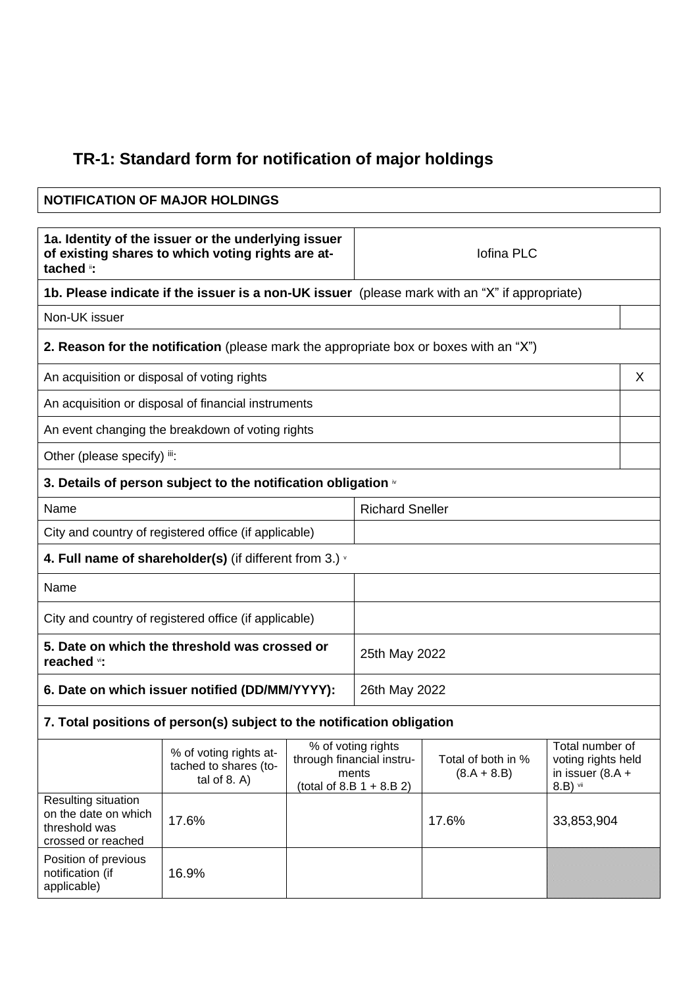## **TR-1: Standard form for notification of major holdings**

| <b>NOTIFICATION OF MAJOR HOLDINGS</b>                                                                                 |                                                                                               |  |                                                                                         |                                     |                                                                         |
|-----------------------------------------------------------------------------------------------------------------------|-----------------------------------------------------------------------------------------------|--|-----------------------------------------------------------------------------------------|-------------------------------------|-------------------------------------------------------------------------|
| 1a. Identity of the issuer or the underlying issuer<br>of existing shares to which voting rights are at-<br>tached ": |                                                                                               |  | Iofina PLC                                                                              |                                     |                                                                         |
|                                                                                                                       | 1b. Please indicate if the issuer is a non-UK issuer (please mark with an "X" if appropriate) |  |                                                                                         |                                     |                                                                         |
| Non-UK issuer                                                                                                         |                                                                                               |  |                                                                                         |                                     |                                                                         |
|                                                                                                                       | 2. Reason for the notification (please mark the appropriate box or boxes with an "X")         |  |                                                                                         |                                     |                                                                         |
| An acquisition or disposal of voting rights                                                                           |                                                                                               |  |                                                                                         |                                     | X                                                                       |
|                                                                                                                       | An acquisition or disposal of financial instruments                                           |  |                                                                                         |                                     |                                                                         |
|                                                                                                                       | An event changing the breakdown of voting rights                                              |  |                                                                                         |                                     |                                                                         |
| Other (please specify) iii:                                                                                           |                                                                                               |  |                                                                                         |                                     |                                                                         |
|                                                                                                                       | 3. Details of person subject to the notification obligation $\dot{ }$                         |  |                                                                                         |                                     |                                                                         |
| Name                                                                                                                  |                                                                                               |  | <b>Richard Sneller</b>                                                                  |                                     |                                                                         |
| City and country of registered office (if applicable)                                                                 |                                                                                               |  |                                                                                         |                                     |                                                                         |
| 4. Full name of shareholder(s) (if different from 3.) $\cdot$                                                         |                                                                                               |  |                                                                                         |                                     |                                                                         |
| Name                                                                                                                  |                                                                                               |  |                                                                                         |                                     |                                                                         |
| City and country of registered office (if applicable)                                                                 |                                                                                               |  |                                                                                         |                                     |                                                                         |
| 5. Date on which the threshold was crossed or<br>reached vi:                                                          |                                                                                               |  | 25th May 2022                                                                           |                                     |                                                                         |
| 6. Date on which issuer notified (DD/MM/YYYY):                                                                        |                                                                                               |  | 26th May 2022                                                                           |                                     |                                                                         |
|                                                                                                                       | 7. Total positions of person(s) subject to the notification obligation                        |  |                                                                                         |                                     |                                                                         |
|                                                                                                                       | % of voting rights at-<br>tached to shares (to-<br>tal of $8. A$ )                            |  | % of voting rights<br>through financial instru-<br>ments<br>(total of 8.B $1 + 8.B 2$ ) | Total of both in %<br>$(8.A + 8.B)$ | Total number of<br>voting rights held<br>in issuer $(8.A +$<br>8.B) vii |
| Resulting situation<br>on the date on which<br>threshold was<br>crossed or reached                                    | 17.6%                                                                                         |  |                                                                                         | 17.6%                               | 33,853,904                                                              |

Position of previous notification (if applicable)

16.9%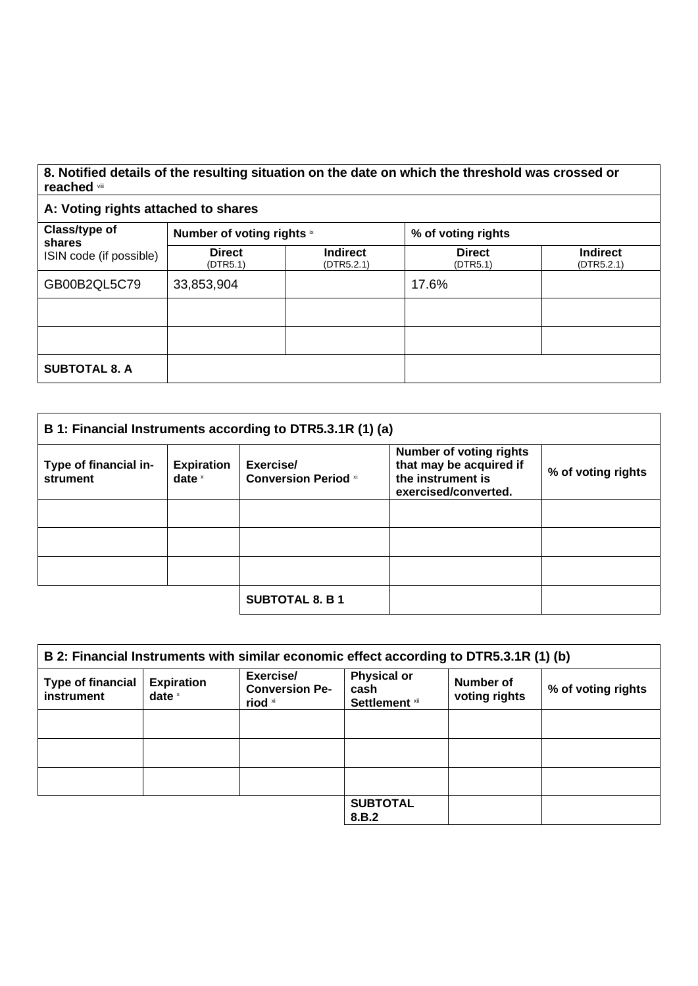## **8. Notified details of the resulting situation on the date on which the threshold was crossed or reached** viii

## **A: Voting rights attached to shares**

| Class/type of<br>shares | Number of voting rights ix |                               | % of voting rights        |                               |
|-------------------------|----------------------------|-------------------------------|---------------------------|-------------------------------|
| ISIN code (if possible) | <b>Direct</b><br>(DTR5.1)  | <b>Indirect</b><br>(DTR5.2.1) | <b>Direct</b><br>(DTR5.1) | <b>Indirect</b><br>(DTR5.2.1) |
| GB00B2QL5C79            | 33,853,904                 |                               | 17.6%                     |                               |
|                         |                            |                               |                           |                               |
|                         |                            |                               |                           |                               |
| <b>SUBTOTAL 8. A</b>    |                            |                               |                           |                               |

| B 1: Financial Instruments according to DTR5.3.1R (1) (a) |                               |                                          |                                                                                                        |                    |
|-----------------------------------------------------------|-------------------------------|------------------------------------------|--------------------------------------------------------------------------------------------------------|--------------------|
| Type of financial in-<br>strument                         | <b>Expiration</b><br>date $x$ | Exercise/<br><b>Conversion Period xi</b> | <b>Number of voting rights</b><br>that may be acquired if<br>the instrument is<br>exercised/converted. | % of voting rights |
|                                                           |                               |                                          |                                                                                                        |                    |
|                                                           |                               |                                          |                                                                                                        |                    |
|                                                           |                               |                                          |                                                                                                        |                    |
|                                                           |                               | <b>SUBTOTAL 8. B 1</b>                   |                                                                                                        |                    |

| B 2: Financial Instruments with similar economic effect according to DTR5.3.1R (1) (b) |                               |                                               |                                              |                            |                    |
|----------------------------------------------------------------------------------------|-------------------------------|-----------------------------------------------|----------------------------------------------|----------------------------|--------------------|
| <b>Type of financial</b><br>instrument                                                 | <b>Expiration</b><br>date $x$ | Exercise/<br><b>Conversion Pe-</b><br>riod xi | <b>Physical or</b><br>cash<br>Settlement xii | Number of<br>voting rights | % of voting rights |
|                                                                                        |                               |                                               |                                              |                            |                    |
|                                                                                        |                               |                                               |                                              |                            |                    |
|                                                                                        |                               |                                               |                                              |                            |                    |
|                                                                                        |                               |                                               | <b>SUBTOTAL</b><br>8.B.2                     |                            |                    |